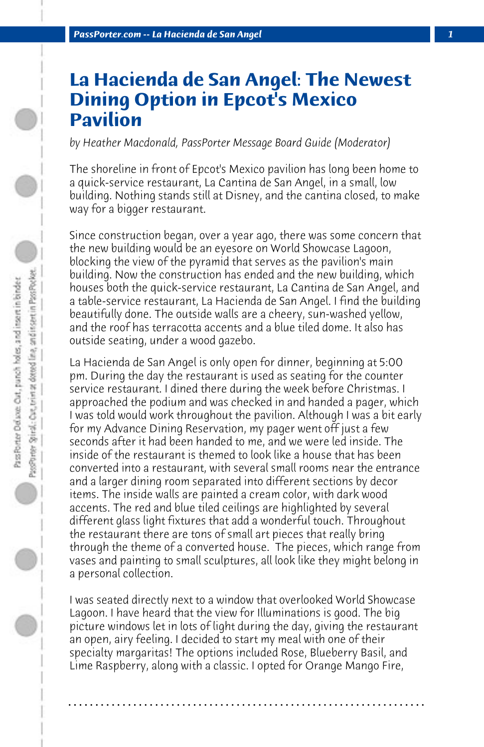## **La Hacienda de San Angel: The Newest Dining Option in Epcot's Mexico Pavilion**

*by Heather Macdonald, PassPorter Message Board Guide (Moderator)*

The shoreline in front of Epcot's Mexico pavilion has long been home to a quick-service restaurant, La Cantina de San Angel, in a small, low building. Nothing stands still at Disney, and the cantina closed, to make way for a bigger restaurant.

Since construction began, over a year ago, there was some concern that the new building would be an eyesore on World Showcase Lagoon, blocking the view of the pyramid that serves as the pavilion's main building. Now the construction has ended and the new building, which houses both the quick-service restaurant, La Cantina de San Angel, and a table-service restaurant, La Hacienda de San Angel. I find the building beautifully done. The outside walls are a cheery, sun-washed yellow, and the roof has terracotta accents and a blue tiled dome. It also has outside seating, under a wood gazebo.

La Hacienda de San Angel is only open for dinner, beginning at 5:00 pm. During the day the restaurant is used as seating for the counter service restaurant. I dined there during the week before Christmas. I approached the podium and was checked in and handed a pager, which I was told would work throughout the pavilion. Although I was a bit early for my Advance Dining Reservation, my pager went off just a few seconds after it had been handed to me, and we were led inside. The inside of the restaurant is themed to look like a house that has been converted into a restaurant, with several small rooms near the entrance and a larger dining room separated into different sections by decor items. The inside walls are painted a cream color, with dark wood accents. The red and blue tiled ceilings are highlighted by several different glass light fixtures that add a wonderful touch. Throughout the restaurant there are tons of small art pieces that really bring through the theme of a converted house. The pieces, which range from vases and painting to small sculptures, all look like they might belong in a personal collection.

I was seated directly next to a window that overlooked World Showcase Lagoon. I have heard that the view for Illuminations is good. The big picture windows let in lots of light during the day, giving the restaurant an open, airy feeling. I decided to start my meal with one of their specialty margaritas! The options included Rose, Blueberry Basil, and Lime Raspberry, along with a classic. I opted for Orange Mango Fire,

**. . . . . . . . . . . . . . . . . . . . . . . . . . . . . . . . . . . . . . . . . . . . . . . . . . . . . . . . . . . . . . . . . .**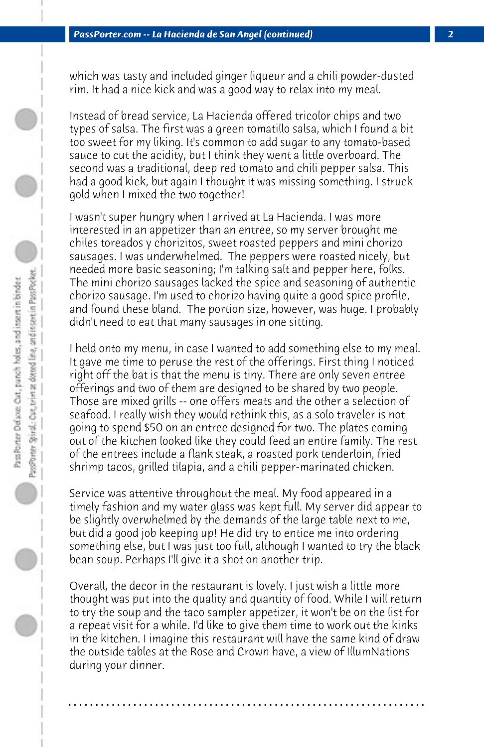which was tasty and included ginger liqueur and a chili powder-dusted rim. It had a nice kick and was a good way to relax into my meal.

Instead of bread service, La Hacienda offered tricolor chips and two types of salsa. The first was a green tomatillo salsa, which I found a bit too sweet for my liking. It's common to add sugar to any tomato-based sauce to cut the acidity, but I think they went a little overboard. The second was a traditional, deep red tomato and chili pepper salsa. This had a good kick, but again I thought it was missing something. I struck gold when I mixed the two together!

I wasn't super hungry when I arrived at La Hacienda. I was more interested in an appetizer than an entree, so my server brought me chiles toreados y chorizitos, sweet roasted peppers and mini chorizo sausages. I was underwhelmed. The peppers were roasted nicely, but needed more basic seasoning; I'm talking salt and pepper here, folks. The mini chorizo sausages lacked the spice and seasoning of authentic chorizo sausage. I'm used to chorizo having quite a good spice profile, and found these bland. The portion size, however, was huge. I probably didn't need to eat that many sausages in one sitting.

I held onto my menu, in case I wanted to add something else to my meal. It gave me time to peruse the rest of the offerings. First thing I noticed right off the bat is that the menu is tiny. There are only seven entree offerings and two of them are designed to be shared by two people. Those are mixed grills -- one offers meats and the other a selection of seafood. I really wish they would rethink this, as a solo traveler is not going to spend \$50 on an entree designed for two. The plates coming out of the kitchen looked like they could feed an entire family. The rest of the entrees include a flank steak, a roasted pork tenderloin, fried shrimp tacos, grilled tilapia, and a chili pepper-marinated chicken.

Service was attentive throughout the meal. My food appeared in a timely fashion and my water glass was kept full. My server did appear to be slightly overwhelmed by the demands of the large table next to me, but did a good job keeping up! He did try to entice me into ordering something else, but I was just too full, although I wanted to try the black bean soup. Perhaps I'll give it a shot on another trip.

Overall, the decor in the restaurant is lovely. I just wish a little more thought was put into the quality and quantity of food. While I will return to try the soup and the taco sampler appetizer, it won't be on the list for a repeat visit for a while. I'd like to give them time to work out the kinks in the kitchen. I imagine this restaurant will have the same kind of draw the outside tables at the Rose and Crown have, a view of IllumNations during your dinner.

**. . . . . . . . . . . . . . . . . . . . . . . . . . . . . . . . . . . . . . . . . . . . . . . . . . . . . . . . . . . . . . . . . .**